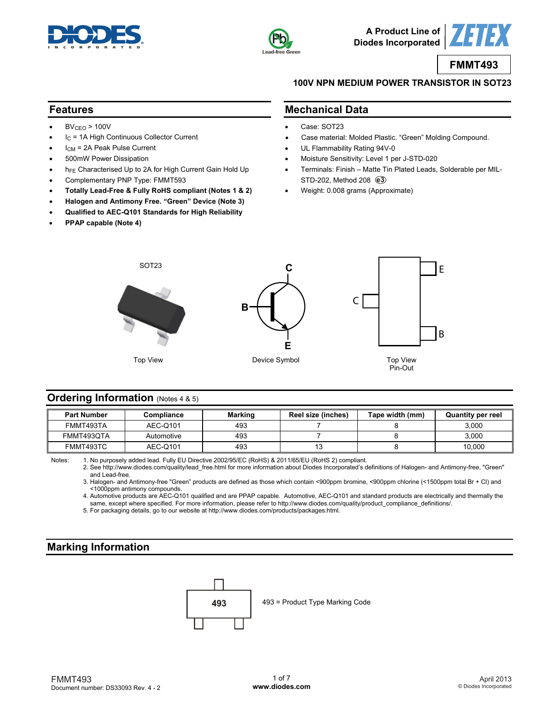



**A Product Line of Diodes Incorporated**

**FMMT493**

#### **100V NPN MEDIUM POWER TRANSISTOR IN SOT23**

#### **Features**

- $BV_{CEO}$  > 100V
- IC = 1A High Continuous Collector Current
- ICM = 2A Peak Pulse Current
- 500mW Power Dissipation
- hFE Characterised Up to 2A for High Current Gain Hold Up
- Complementary PNP Type: FMMT593
- **Totally Lead-Free & Fully RoHS compliant (Notes 1 & 2)**
- **Halogen and Antimony Free. "Green" Device (Note 3)**
- **Qualified to AEC-Q101 Standards for High Reliability**
- **PPAP capable (Note 4)**

### **Mechanical Data**

- Case: SOT23
- Case material: Molded Plastic. "Green" Molding Compound.
- UL Flammability Rating 94V-0
- Moisture Sensitivity: Level 1 per J-STD-020
- Terminals: Finish Matte Tin Plated Leads, Solderable per MIL-STD-202, Method 208 **e3**
- Weight: 0.008 grams (Approximate)



### **Ordering Information (Notes 4 & 5)**

| <b>Part Number</b> | Compliance | <b>Marking</b> | Reel size (inches) | Tape width (mm) | <b>Quantity per reel</b> |
|--------------------|------------|----------------|--------------------|-----------------|--------------------------|
| FMMT493TA          | AEC-Q101   | 493            |                    |                 | 3.000                    |
| FMMT493QTA         | Automotive | 493            |                    |                 | 3.000                    |
| FMMT493TC          | AEC-Q101   | 493            |                    |                 | 10.000                   |

Notes: 1. No purposely added lead. Fully EU Directive 2002/95/EC (RoHS) & 2011/65/EU (RoHS 2) compliant.

 2. See [http://www.diodes.com/quality/lead\\_free.html fo](http://www.diodes.com/quality/lead_free.html)r more information about Diodes Incorporated's definitions of Halogen- and Antimony-free, "Green" and Lead-free.

 3. Halogen- and Antimony-free "Green" products are defined as those which contain <900ppm bromine, <900ppm chlorine (<1500ppm total Br + Cl) and <1000ppm antimony compounds.

 4. Automotive products are AEC-Q101 qualified and are PPAP capable. Automotive, AEC-Q101 and standard products are electrically and thermally the same, except where specified. For more information, please refer to [http://www.diodes.com/quality/product\\_compliance\\_definitions/.](http://www.diodes.com/quality/product_compliance_definitions/)

5. For packaging details, go to our website at [http://www.diodes.com/products/packages.html.](http://www.diodes.com/products/packages.html)

# **Marking Information**

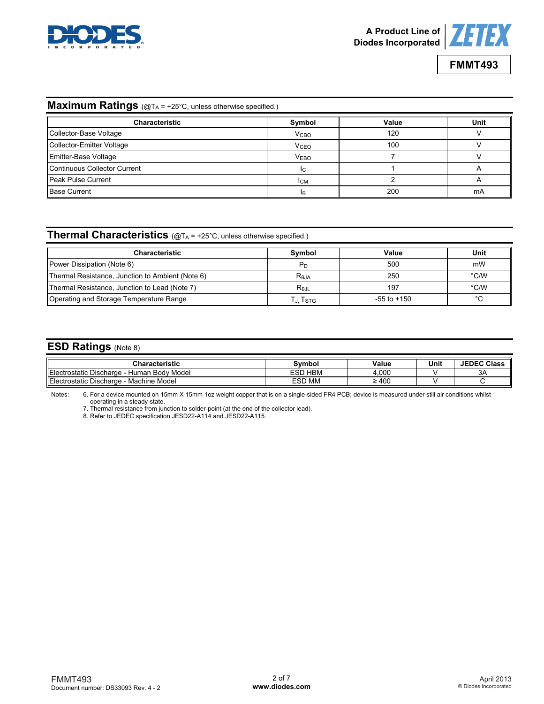



# **Maximum Ratings** (@TA = +25°C, unless otherwise specified.)

| <b>Characteristic</b>        | Symbol                 | Value | Unit |
|------------------------------|------------------------|-------|------|
| Collector-Base Voltage       | <b>V<sub>CBO</sub></b> | 120   |      |
| Collector-Emitter Voltage    | <b>V<sub>CEO</sub></b> | 100   |      |
| <b>Emitter-Base Voltage</b>  | <b>VEBO</b>            |       |      |
| Continuous Collector Current | lc.                    |       |      |
| Peak Pulse Current           | <b>I</b> CM            |       |      |
| <b>Base Current</b>          | IB                     | 200   | mA   |

## **Thermal Characteristics** (@TA = +25°C, unless otherwise specified.)

| <b>Characteristic</b>                            | Symbol            | Value           | Unit |
|--------------------------------------------------|-------------------|-----------------|------|
| Power Dissipation (Note 6)                       | Pп                | 500             | mW   |
| Thermal Resistance, Junction to Ambient (Note 6) | $R_{0,IA}$        | 250             | °C/W |
| Thermal Resistance, Junction to Lead (Note 7)    | $R_{0,\text{IL}}$ | 197             | °C/W |
| Operating and Storage Temperature Range          | J. Tstg           | $-55$ to $+150$ | °C   |

#### **ESD Ratings** (Note 8)

| <b>Characteristic</b>                                  | symbol :          | Value    | Unit | <b>JEDEC Class</b> |
|--------------------------------------------------------|-------------------|----------|------|--------------------|
| Electr<br>Human Body Model<br>: Discharge<br>ostatic I | <b>HBM</b><br>ESD | 4,000    |      | 3A                 |
| Electr<br>Machine Model<br>: Discharge<br>ostatic.     | <b>ESD MM</b>     | 400<br>- |      |                    |

Notes: 6. For a device mounted on 15mm X 15mm 1oz weight copper that is on a single-sided FR4 PCB; device is measured under still air conditions whilst operating in a steady-state.

7. Thermal resistance from junction to solder-point (at the end of the collector lead).

8. Refer to JEDEC specification JESD22-A114 and JESD22-A115.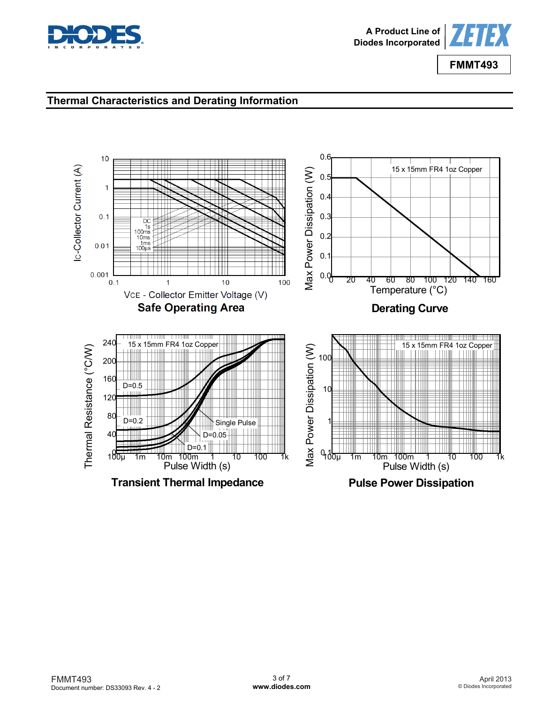



# **Thermal Characteristics and Derating Information**

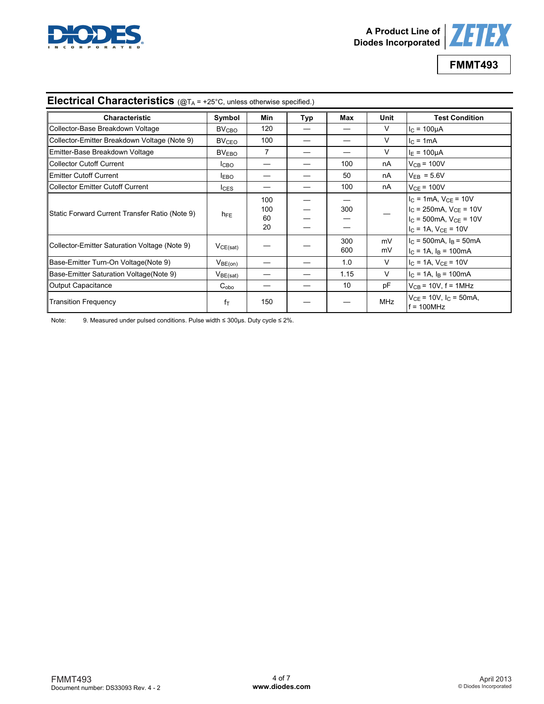



| <b>Electrical Characteristics</b> ( $@T_A = +25^\circ C$ , unless otherwise specified.) |                         |                        |     |            |            |                                                                                                                                   |
|-----------------------------------------------------------------------------------------|-------------------------|------------------------|-----|------------|------------|-----------------------------------------------------------------------------------------------------------------------------------|
| <b>Characteristic</b>                                                                   | Symbol                  | Min                    | Typ | Max        | Unit       | <b>Test Condition</b>                                                                                                             |
| Collector-Base Breakdown Voltage                                                        | <b>BV<sub>CBO</sub></b> | 120                    |     |            | V          | $I_C = 100 \mu A$                                                                                                                 |
| Collector-Emitter Breakdown Voltage (Note 9)                                            | <b>BV<sub>CEO</sub></b> | 100                    |     |            | $\vee$     | $IC = 1mA$                                                                                                                        |
| Emitter-Base Breakdown Voltage                                                          | BV <sub>EBO</sub>       | 7                      |     |            | $\vee$     | $I_F = 100 \mu A$                                                                                                                 |
| Collector Cutoff Current                                                                | Iсво                    |                        |     | 100        | nA         | $V_{CB}$ = 100V                                                                                                                   |
| <b>Emitter Cutoff Current</b>                                                           | <b>IEBO</b>             |                        |     | 50         | nA         | $V_{EB} = 5.6V$                                                                                                                   |
| Collector Emitter Cutoff Current                                                        | $_{\text{lcss}}$        |                        |     | 100        | nA         | $VCE = 100V$                                                                                                                      |
| Static Forward Current Transfer Ratio (Note 9)                                          | $h_{FE}$                | 100<br>100<br>60<br>20 |     | 300        |            | $I_C = 1mA$ , $V_{CE} = 10V$<br>$I_{C}$ = 250mA, $V_{CE}$ = 10V<br>$I_{C}$ = 500mA, $V_{CE}$ = 10V<br>$I_C = 1A$ , $V_{CE} = 10V$ |
| Collector-Emitter Saturation Voltage (Note 9)                                           | VCE(sat)                |                        |     | 300<br>600 | mV<br>mV   | $I_C = 500 \text{mA}$ , $I_B = 50 \text{mA}$<br>$IC = 1A$ , $IB = 100mA$                                                          |
| Base-Emitter Turn-On Voltage(Note 9)                                                    | V <sub>BE(on)</sub>     |                        |     | 1.0        | $\vee$     | $I_C = 1A$ , $V_{CE} = 10V$                                                                                                       |
| Base-Emitter Saturation Voltage (Note 9)                                                | V <sub>BE(sat)</sub>    |                        |     | 1.15       | V          | $I_C = 1A$ , $I_B = 100mA$                                                                                                        |
| Output Capacitance                                                                      | $C_{\rm obo}$           |                        |     | 10         | рF         | $V_{CB}$ = 10V, f = 1MHz                                                                                                          |
| <b>Transition Frequency</b>                                                             | fт                      | 150                    |     |            | <b>MHz</b> | $V_{CF}$ = 10V, $I_C$ = 50mA,<br>$f = 100 MHz$                                                                                    |

Note: 9. Measured under pulsed conditions. Pulse width ≤ 300µs. Duty cycle ≤ 2%.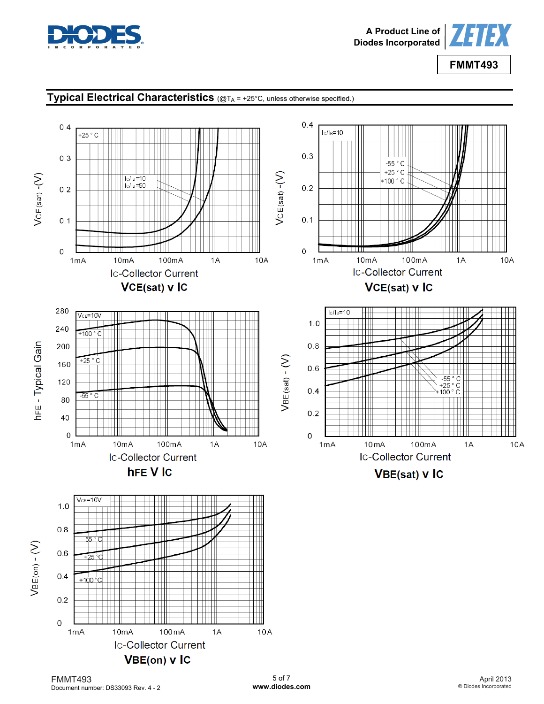

 $VCE(sat) - (V)$ 

**hFE-Typical Gain** 

 $VBE(on) - (V)$ 



**FMMT493**

 $10A$ 

 $10A$ 

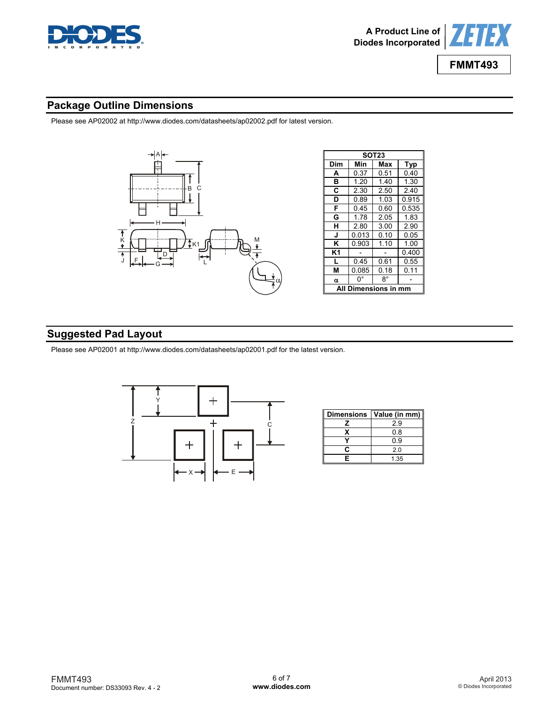

**SOT23** 

**H** 2.80 3.00 2.90

**2.30** 

0.085



**FMMT493**

# **Package Outline Dimensions**

Please see AP02002 at [http://www.diodes.com/datasheets/ap02002.pdf fo](http://www.diodes.com/datasheets/ap02002.pdf)r latest version.



# **Suggested Pad Layout**

Please see AP02001 at [http://www.diodes.com/datasheets/ap02001.pdf fo](http://www.diodes.com/datasheets/ap02001.pdf)r the latest version.



| <b>Dimensions</b> | Value (in mm) |
|-------------------|---------------|
|                   | 29            |
|                   | 0.8           |
|                   | 0.9           |
| r                 | 2.0           |
| F                 | 1.35          |

FMMT493 Document number: DS33093 Rev. 4 - 2